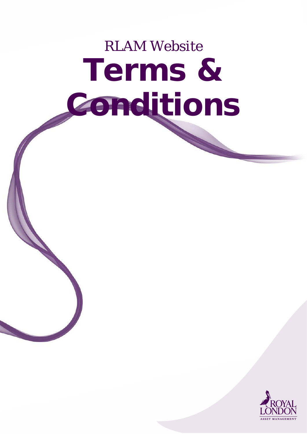# RLAM Website Terms & Conditions

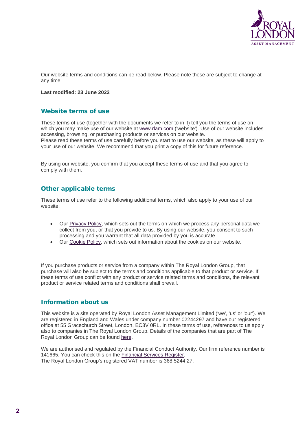

Our website terms and conditions can be read below. Please note these are subject to change at any time.

#### **Last modified: 23 June 2022**

## Website terms of use

These terms of use (together with the documents we refer to in it) tell you the terms of use on which you may make use of our website at [www.rlam.com](https://rlaminc.europe.kinandcarta.com/) ('website'). Use of our website includes accessing, browsing, or purchasing products or services on our website. Please read these terms of use carefully before you start to use our website, as these will apply to your use of our website. We recommend that you print a copy of this for future reference.

By using our website, you confirm that you accept these terms of use and that you agree to comply with them.

## Other applicable terms

These terms of use refer to the following additional terms, which also apply to your use of our website:

- Our [Privacy](https://rlaminc.europe.kinandcarta.com/privacy-policy/) Policy, which sets out the terms on which we process any personal data we collect from you, or that you provide to us. By using our website, you consent to such processing and you warrant that all data provided by you is accurate.
- Our [Cookie](https://rlaminc.europe.kinandcarta.com/cookie-policy/) Policy, which sets out information about the cookies on our website.

If you purchase products or service from a company within The Royal London Group, that purchase will also be subject to the terms and conditions applicable to that product or service. If these terms of use conflict with any product or service related terms and conditions, the relevant product or service related terms and conditions shall prevail.

## Information about us

This website is a site operated by Royal London Asset Management Limited ('we', 'us' or 'our'). We are registered in England and Wales under company number 02244297 and have our registered office at 55 Gracechurch Street, London, EC3V 0RL. In these terms of use, references to us apply also to companies in The Royal London Group. Details of the companies that are part of The Royal London Group can be found [here.](https://www.royallondon.com/legal/companies/)

We are authorised and regulated by the Financial Conduct Authority. Our firm reference number is 141665. You can check this on the [Financial](https://www.fca.org.uk/firms/financial-services-register) Services Register. The Royal London Group's registered VAT number is 368 5244 27.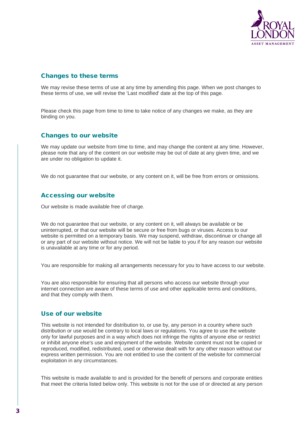

# Changes to these terms

We may revise these terms of use at any time by amending this page. When we post changes to these terms of use, we will revise the 'Last modified' date at the top of this page.

Please check this page from time to time to take notice of any changes we make, as they are binding on you.

## Changes to our website

We may update our website from time to time, and may change the content at any time. However, please note that any of the content on our website may be out of date at any given time, and we are under no obligation to update it.

We do not quarantee that our website, or any content on it, will be free from errors or omissions.

## Accessing our website

Our website is made available free of charge.

We do not guarantee that our website, or any content on it, will always be available or be uninterrupted, or that our website will be secure or free from bugs or viruses. Access to our website is permitted on a temporary basis. We may suspend, withdraw, discontinue or change all or any part of our website without notice. We will not be liable to you if for any reason our website is unavailable at any time or for any period.

You are responsible for making all arrangements necessary for you to have access to our website.

You are also responsible for ensuring that all persons who access our website through your internet connection are aware of these terms of use and other applicable terms and conditions, and that they comply with them.

## Use of our website

This website is not intended for distribution to, or use by, any person in a country where such distribution or use would be contrary to local laws or regulations. You agree to use the website only for lawful purposes and in a way which does not infringe the rights of anyone else or restrict or inhibit anyone else's use and enjoyment of the website. Website content must not be copied or reproduced, modified, redistributed, used or otherwise dealt with for any other reason without our express written permission. You are not entitled to use the content of the website for commercial exploitation in any circumstances.

This website is made available to and is provided for the benefit of persons and corporate entities that meet the criteria listed below only. This website is not for the use of or directed at any person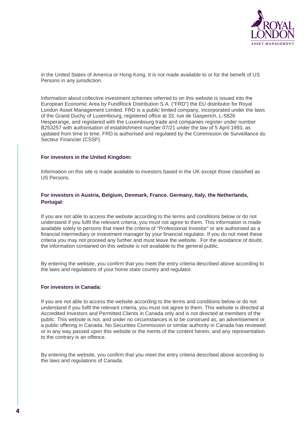

in the United States of America or Hong Kong. It is not made available to or for the benefit of US Persons in any jurisdiction.

Information about collective investment schemes referred to on this website is issued into the European Economic Area by FundRock Distribution S.A. ("FRD") the EU distributor for Royal London Asset Management Limited. FRD is a public limited company, incorporated under the laws of the Grand Duchy of Luxembourg, registered office at 33, rue de Gasperich, L-5826 Hesperange, and registered with the Luxembourg trade and companies register under number B253257 with authorisation of establishment number 07/21 under the law of 5 April 1993, as updated from time to time. FRD is authorised and regulated by the Commission de Surveillance du Secteur Financier (CSSF).

#### **For investors in the United Kingdom:**

Information on this site is made available to investors based in the UK except those classified as US Persons.

## **For investors in Austria, Belgium, Denmark, France. Germany, Italy, the Netherlands, Portugal:**

If you are not able to access the website according to the terms and conditions below or do not understand if you fulfil the relevant criteria, you must not agree to them. This information is made available solely to persons that meet the criteria of "Professional Investor" or are authorised as a financial intermediary or investment manager by your financial regulator. If you do not meet these criteria you may not proceed any further and must leave the website. For the avoidance of doubt, the information contained on this website is not available to the general public.

By entering the website, you confirm that you meet the entry criteria described above according to the laws and regulations of your home state country and regulator.

### **For investors in Canada:**

If you are not able to access the website according to the terms and conditions below or do not understand if you fulfil the relevant criteria, you must not agree to them. This website is directed at Accredited Investors and Permitted Clients in Canada only and is not directed at members of the public. This website is not, and under no circumstances is to be construed as, an advertisement or a public offering in Canada. No Securities Commission or similar authority in Canada has reviewed or in any way passed upon this website or the merits of the content herein, and any representation to the contrary is an offence.

By entering the website, you confirm that you meet the entry criteria described above according to the laws and regulations of Canada.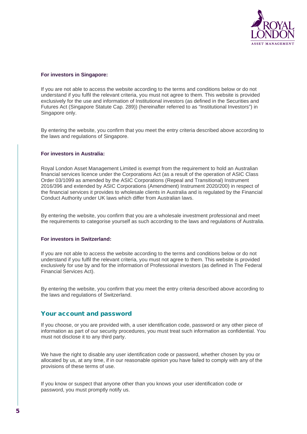

#### **For investors in Singapore:**

If you are not able to access the website according to the terms and conditions below or do not understand if you fulfil the relevant criteria, you must not agree to them. This website is provided exclusively for the use and information of Institutional investors (as defined in the Securities and Futures Act (Singapore Statute Cap. 289)) (hereinafter referred to as "Institutional Investors") in Singapore only.

By entering the website, you confirm that you meet the entry criteria described above according to the laws and regulations of Singapore.

#### **For investors in Australia:**

Royal London Asset Management Limited is exempt from the requirement to hold an Australian financial services licence under the Corporations Act (as a result of the operation of ASIC Class Order 03/1099 as amended by the ASIC Corporations (Repeal and Transitional) Instrument 2016/396 and extended by ASIC Corporations (Amendment) Instrument 2020/200) in respect of the financial services it provides to wholesale clients in Australia and is regulated by the Financial Conduct Authority under UK laws which differ from Australian laws.

By entering the website, you confirm that you are a wholesale investment professional and meet the requirements to categorise yourself as such according to the laws and regulations of Australia.

#### **For investors in Switzerland:**

If you are not able to access the website according to the terms and conditions below or do not understand if you fulfil the relevant criteria, you must not agree to them. This website is provided exclusively for use by and for the information of Professional investors (as defined in The Federal Financial Services Act).

By entering the website, you confirm that you meet the entry criteria described above according to the laws and regulations of Switzerland.

## Your account and password

If you choose, or you are provided with, a user identification code, password or any other piece of information as part of our security procedures, you must treat such information as confidential. You must not disclose it to any third party.

We have the right to disable any user identification code or password, whether chosen by you or allocated by us, at any time, if in our reasonable opinion you have failed to comply with any of the provisions of these terms of use.

If you know or suspect that anyone other than you knows your user identification code or password, you must promptly notify us.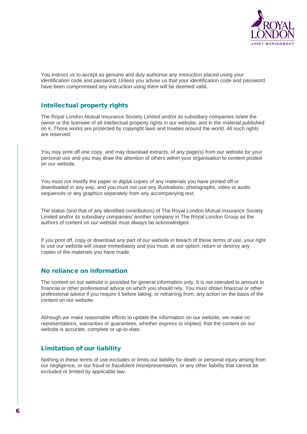

You instruct us to accept as genuine and duly authorise any instruction placed using your identification code and password. Unless you advise us that your identification code and password have been compromised any instruction using them will be deemed valid.

# Intellectual property rights

The Royal London Mutual Insurance Society Limited and/or its subsidiary companies is/are the owner or the licensee of all intellectual property rights in our website, and in the material published on it. Those works are protected by copyright laws and treaties around the world. All such rights are reserved.

You may print off one copy, and may download extracts, of any page(s) from our website for your personal use and you may draw the attention of others within your organisation to content posted on our website.

You must not modify the paper or digital copies of any materials you have printed off or downloaded in any way, and you must not use any illustrations, photographs, video or audio sequences or any graphics separately from any accompanying text.

The status (and that of any identified contributors) of The Royal London Mutual Insurance Society Limited and/or its subsidiary companies/ another company in The Royal London Group as the authors of content on our website must always be acknowledged.

If you print off, copy or download any part of our website in breach of these terms of use, your right to use our website will cease immediately and you must, at our option, return or destroy any copies of the materials you have made.

# No reliance on information

The content on our website is provided for general information only. It is not intended to amount to financial or other professional advice on which you should rely. You must obtain financial or other professional advice if you require it before taking, or refraining from, any action on the basis of the content on our website.

Although we make reasonable efforts to update the information on our website, we make no representations, warranties or guarantees, whether express or implied, that the content on our website is accurate, complete or up-to-date.

## Limitation of our liability

Nothing in these terms of use excludes or limits our liability for death or personal injury arising from our negligence, or our fraud or fraudulent misrepresentation, or any other liability that cannot be excluded or limited by applicable law.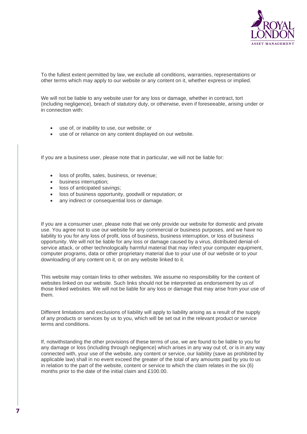

To the fullest extent permitted by law, we exclude all conditions, warranties, representations or other terms which may apply to our website or any content on it, whether express or implied.

We will not be liable to any website user for any loss or damage, whether in contract, tort (including negligence), breach of statutory duty, or otherwise, even if foreseeable, arising under or in connection with:

- use of, or inability to use, our website; or
- use of or reliance on any content displayed on our website.

If you are a business user, please note that in particular, we will not be liable for:

- loss of profits, sales, business, or revenue;
- business interruption;
- loss of anticipated savings;
- loss of business opportunity, goodwill or reputation; or
- any indirect or consequential loss or damage.

If you are a consumer user, please note that we only provide our website for domestic and private use. You agree not to use our website for any commercial or business purposes, and we have no liability to you for any loss of profit, loss of business, business interruption, or loss of business opportunity. We will not be liable for any loss or damage caused by a virus, distributed denial-ofservice attack, or other technologically harmful material that may infect your computer equipment, computer programs, data or other proprietary material due to your use of our website or to your downloading of any content on it, or on any website linked to it.

This website may contain links to other websites. We assume no responsibility for the content of websites linked on our website. Such links should not be interpreted as endorsement by us of those linked websites. We will not be liable for any loss or damage that may arise from your use of them.

Different limitations and exclusions of liability will apply to liability arising as a result of the supply of any products or services by us to you, which will be set out in the relevant product or service terms and conditions.

If, notwithstanding the other provisions of these terms of use, we are found to be liable to you for any damage or loss (including through negligence) which arises in any way out of, or is in any way connected with, your use of the website, any content or service, our liability (save as prohibited by applicable law) shall in no event exceed the greater of the total of any amounts paid by you to us in relation to the part of the website, content or service to which the claim relates in the six (6) months prior to the date of the initial claim and £100.00.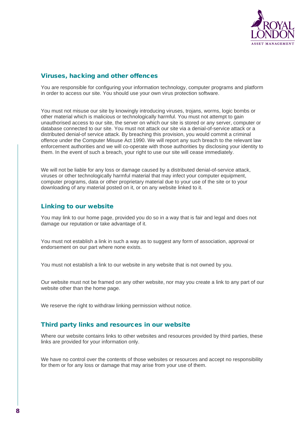

# Viruses, hacking and other offences

You are responsible for configuring your information technology, computer programs and platform in order to access our site. You should use your own virus protection software.

You must not misuse our site by knowingly introducing viruses, trojans, worms, logic bombs or other material which is malicious or technologically harmful. You must not attempt to gain unauthorised access to our site, the server on which our site is stored or any server, computer or database connected to our site. You must not attack our site via a denial-of-service attack or a distributed denial-of service attack. By breaching this provision, you would commit a criminal offence under the Computer Misuse Act 1990. We will report any such breach to the relevant law enforcement authorities and we will co-operate with those authorities by disclosing your identity to them. In the event of such a breach, your right to use our site will cease immediately.

We will not be liable for any loss or damage caused by a distributed denial-of-service attack, viruses or other technologically harmful material that may infect your computer equipment, computer programs, data or other proprietary material due to your use of the site or to your downloading of any material posted on it, or on any website linked to it.

# Linking to our website

You may link to our home page, provided you do so in a way that is fair and legal and does not damage our reputation or take advantage of it.

You must not establish a link in such a way as to suggest any form of association, approval or endorsement on our part where none exists.

You must not establish a link to our website in any website that is not owned by you.

Our website must not be framed on any other website, nor may you create a link to any part of our website other than the home page.

We reserve the right to withdraw linking permission without notice.

## Third party links and resources in our website

Where our website contains links to other websites and resources provided by third parties, these links are provided for your information only.

We have no control over the contents of those websites or resources and accept no responsibility for them or for any loss or damage that may arise from your use of them.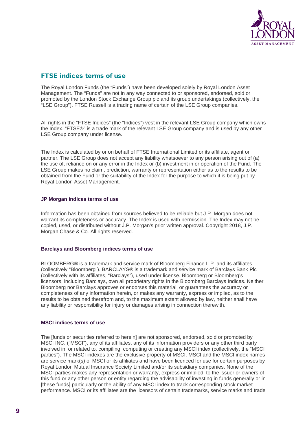

# FTSE indices terms of use

The Royal London Funds (the "Funds") have been developed solely by Royal London Asset Management. The "Funds" are not in any way connected to or sponsored, endorsed, sold or promoted by the London Stock Exchange Group plc and its group undertakings (collectively, the "LSE Group"). FTSE Russell is a trading name of certain of the LSE Group companies.

All rights in the "FTSE Indices" (the "Indices") vest in the relevant LSE Group company which owns the Index. "FTSE®" is a trade mark of the relevant LSE Group company and is used by any other LSE Group company under license.

The Index is calculated by or on behalf of FTSE International Limited or its affiliate, agent or partner. The LSE Group does not accept any liability whatsoever to any person arising out of (a) the use of, reliance on or any error in the Index or (b) investment in or operation of the Fund. The LSE Group makes no claim, prediction, warranty or representation either as to the results to be obtained from the Fund or the suitability of the Index for the purpose to which it is being put by Royal London Asset Management.

#### **JP Morgan indices terms of use**

Information has been obtained from sources believed to be reliable but J.P. Morgan does not warrant its completeness or accuracy. The Index is used with permission. The Index may not be copied, used, or distributed without J.P. Morgan's prior written approval. Copyright 2018, J.P. Morgan Chase & Co. All rights reserved.

## **Barclays and Bloomberg indices terms of use**

BLOOMBERG® is a trademark and service mark of Bloomberg Finance L.P. and its affiliates (collectively "Bloomberg"). BARCLAYS® is a trademark and service mark of Barclays Bank Plc (collectively with its affiliates, "Barclays"), used under license. Bloomberg or Bloomberg's licensors, including Barclays, own all proprietary rights in the Bloomberg Barclays Indices. Neither Bloomberg nor Barclays approves or endorses this material, or guarantees the accuracy or completeness of any information herein, or makes any warranty, express or implied, as to the results to be obtained therefrom and, to the maximum extent allowed by law, neither shall have any liability or responsibility for injury or damages arising in connection therewith.

## **MSCI indices terms of use**

The [funds or securities referred to herein] are not sponsored, endorsed, sold or promoted by MSCI INC. ("MSCI"), any of its affiliates, any of its information providers or any other third party involved in, or related to, compiling, computing or creating any MSCI index (collectively, the "MSCI parties"). The MSCI indexes are the exclusive property of MSCI. MSCI and the MSCI index names are service mark(s) of MSCI or its affiliates and have been licenced for use for certain purposes by Royal London Mutual Insurance Society Limited and/or its subsidiary companies. None of the MSCI parties makes any representation or warranty, express or implied, to the issuer or owners of this fund or any other person or entity regarding the advisability of investing in funds generally or in [these funds] particularly or the ability of any MSCI index to track corresponding stock market performance. MSCI or its affiliates are the licensors of certain trademarks, service marks and trade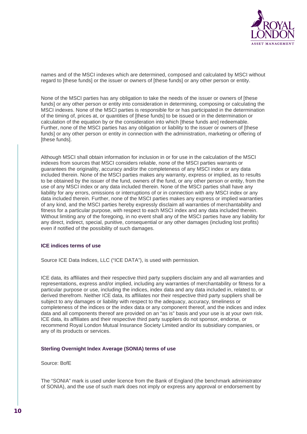

names and of the MSCI indexes which are determined, composed and calculated by MSCI without regard to [these funds] or the issuer or owners of [these funds] or any other person or entity.

None of the MSCI parties has any obligation to take the needs of the issuer or owners of [these funds] or any other person or entity into consideration in determining, composing or calculating the MSCI indexes. None of the MSCI parties is responsible for or has participated in the determination of the timing of, prices at, or quantities of [these funds] to be issued or in the determination or calculation of the equation by or the consideration into which [these funds are] redeemable. Further, none of the MSCI parties has any obligation or liability to the issuer or owners of [these funds] or any other person or entity in connection with the administration, marketing or offering of Ithese fundsl.

Although MSCI shall obtain information for inclusion in or for use in the calculation of the MSCI indexes from sources that MSCI considers reliable, none of the MSCI parties warrants or guarantees the originality, accuracy and/or the completeness of any MSCI index or any data included therein. None of the MSCI parties makes any warranty, express or implied, as to results to be obtained by the issuer of the fund, owners of the fund, or any other person or entity, from the use of any MSCI index or any data included therein. None of the MSCI parties shall have any liability for any errors, omissions or interruptions of or in connection with any MSCI index or any data included therein. Further, none of the MSCI parties makes any express or implied warranties of any kind, and the MSCI parties hereby expressly disclaim all warranties of merchantability and fitness for a particular purpose, with respect to each MSCI index and any data included therein. Without limiting any of the foregoing, in no event shall any of the MSCI parties have any liability for any direct, indirect, special, punitive, consequential or any other damages (including lost profits) even if notified of the possibility of such damages.

#### **ICE indices terms of use**

Source ICE Data Indices, LLC ("ICE DATA"), is used with permission.

ICE data, its affiliates and their respective third party suppliers disclaim any and all warranties and representations, express and/or implied, including any warranties of merchantability or fitness for a particular purpose or use, including the indices, index data and any data included in, related to, or derived therefrom. Neither ICE data, its affiliates nor their respective third party suppliers shall be subject to any damages or liability with respect to the adequacy, accuracy, timeliness or completeness of the indices or the index data or any component thereof, and the indices and index data and all components thereof are provided on an "as is" basis and your use is at your own risk. ICE data, its affiliates and their respective third party suppliers do not sponsor, endorse, or recommend Royal London Mutual Insurance Society Limited and/or its subsidiary companies, or any of its products or services.

#### **Sterling Overnight Index Average (SONIA) terms of use**

Source: BofE

The "SONIA" mark is used under licence from the Bank of England (the benchmark administrator of SONIA), and the use of such mark does not imply or express any approval or endorsement by